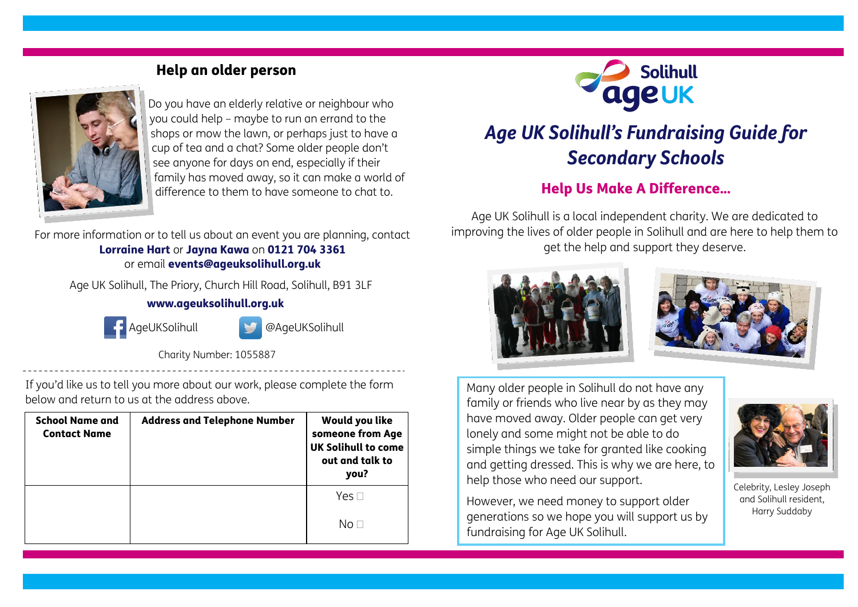## Help an older person



Do you have an elderly relative or neighbour who you could help – maybe to run an errand to the shops or mow the lawn, or perhaps just to have a cup of tea and a chat? Some older people don't see anyone for days on end, especially if their family has moved away, so it can make a world of difference to them to have someone to chat to.

For more information or to tell us about an event you are planning, contact Lorraine Hart or Jayna Kawa on 0121 704 3361 or email events@ageuksolihull.org.uk

Age UK Solihull, The Priory, Church Hill Road, Solihull, B91 3LF

## www.ageuksolihull.org.uk



AgeUKSolihull @AgeUKSolihull

Charity Number: 1055887

If you'd like us to tell you more about our work, please complete the form below and return to us at the address above.

| <b>School Name and</b><br><b>Contact Name</b> | <b>Address and Telephone Number</b> | Would you like<br>someone from Age<br><b>UK Solihull to come</b><br>out and talk to<br>you? |
|-----------------------------------------------|-------------------------------------|---------------------------------------------------------------------------------------------|
|                                               |                                     | Yes $\Box$                                                                                  |
|                                               |                                     | No ⊟                                                                                        |



# *Age UK Solihull's Fundraising Guide for Secondary Schools*

# Help Us Make A Difference...

Age UK Solihull is a local independent charity. We are dedicated to improving the lives of older people in Solihull and are here to help them to get the help and support they deserve.





Many older people in Solihull do not have any family or friends who live near by as they may have moved away. Older people can get very lonely and some might not be able to do simple things we take for granted like cooking and getting dressed. This is why we are here, to help those who need our support.

Celebrity, Lesley Joseph and Solihull resident, Harry Suddaby

However, we need money to support older generations so we hope you will support us by fundraising for Age UK Solihull.